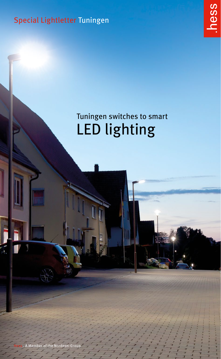Special Lightletter Tuningen



# Tuningen switches to smart LED lighting

Member of the Nordeon-Group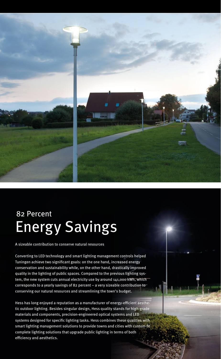

# 82 Percent Energy Savings

A sizeable contribution to conserve natural resources

Converting to LED technology and smart lighting management controls helped Tuningen achieve two significant goals: on the one hand, increased energy conservation and sustainability while, on the other hand, drastically improved quality in the lighting of public spaces. Compared to the previous lighting system, the new system cuts annual electricity use by around 141,000 kWh, which corresponds to a yearly savings of 82 percent – a very sizeable contribution to conserving our natural resources and streamlining the town's budget.

Hess has long enjoyed a reputation as a manufacturer of energy-efficient aesthetic outdoor lighting. Besides singular design, Hess quality stands for high-grade materials and components, precision-engineered optical systems and LED systems designed for specific lighting tasks. Hess combines these qualities with smart lighting management solutions to provide towns and cities with custom-fit complete lighting solutions that upgrade public lighting in terms of both efficiency and aesthetics.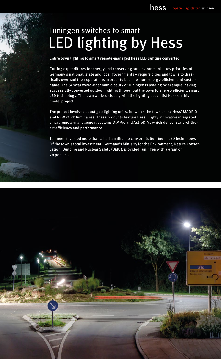# Tuningen switches to smart LED lighting by Hess

**Entire town lighting to smart remote-managed Hess LED lighting converted**

Cutting expenditures for energy and conserving our environment – key priorities of Germany's national, state and local governments – require cities and towns to drastically overhaul their operations in order to become more energy-efficient and sustainable. The Schwarzwald-Baar municipality of Tuningen is leading by example, having successfully converted outdoor lighting throughout the town to energy-efficient, smart LED technology. The town worked closely with the lighting specialist Hess on this model project.

The project involved about 500 lighting units, for which the town chose Hess' MADRID and NEW YORK luminaires. These products feature Hess' highly innovative integrated smart remote-management systems DIMPro and AstroDIM, which deliver state-of-theart efficiency and performance.

Tuningen invested more than a half a million to convert its lighting to LED technology. Of the town's total investment, Germany's Ministry for the Environment, Nature Conservation, Building and Nuclear Safety (BMU), provided Tuningen with a grant of 20 percent.

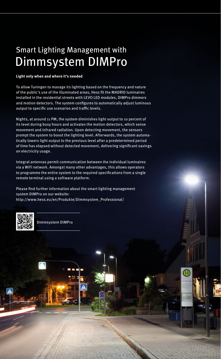## Smart Lighting Management with Dimmsystem DIMPro

#### **Light only when and where it's needed**

To allow Tuningen to manage its lighting based on the frequency and nature of the public's use of the illuminated areas, Hess fit the MADRID luminaires installed in the residential streets with LEVO LED modules, DIMPro dimmers and motion detectors. The system configures to automatically adjust luminous output to specific use scenarios and traffic levels.

Nights, at around 11 PM, the system diminishes light output to 10 percent of its level during busy hours and activates the motion detectors, which sense movement and infrared radiation. Upon detecting movement, the sensors prompt the system to boost the lighting level. Afterwards, the system automatically lowers light output to the previous level after a predetermined period of time has elapsed without detected movement, delivering significant savings on electricity usage.

Integral antennas permit communication between the individual luminaires via a WiFi network. Amongst many other advantages, this allows operators to programme the entire system to the required specifications from a single remote terminal using a software platform.

Please find further information about the smart lighting management system DIMPro on our website: http://www.hess.eu/en/Produkte/Dimmsystem\_Professional/



Dimmsystem DIMPro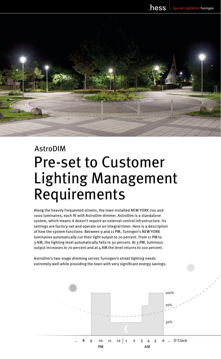

# AstroDIM Pre-set to Customer Lighting Management Requirements

Along the heavily frequented streets, the town installed NEW YORK 700 and 1000 luminaires, each fit with AstroDim dimmer. AstroDim is a standalone system, which means it doesn't require an external control infrastructure. Its settings are factory-set and operate on an integral timer. Here is a description of how the system functions: Between 9 and 11 PM, Tuningen's NEW YORK luminaires automatically cut their light output to 70 percent. From 11 PM to 3 AM, the lighting level automatically falls to 30 percent. At 3 PM, luminous output increases to 70 percent and at 4 AM the level returns to 100 percent.

AstroDim's two-stage dimming serves Tuningen's street lighting needs extremely well while providing the town with very significant energy savings.

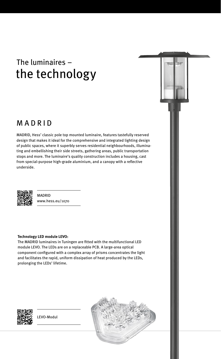## The luminaires – the technology

### MADRID

MADRID, Hess' classic pole top mounted luminaire, features tastefully reserved design that makes it ideal for the comprehensive and integrated lighting design of public spaces, where it superbly serves residential neighbourhoods, illuminating and embellishing their side streets, gathering areas, public transportation stops and more. The luminaire's quality construction includes a housing, cast from special-purpose high-grade aluminium, and a canopy with a reflective underside.



MADRID www.hess.eu/1070

#### **Technology LED module LEVO:**

The MADRID luminaires in Tuningen are fitted with the multifunctional LED module LEVO. The LEDs are on a replaceable PCB. A large-area optical component configured with a complex array of prisms concentrates the light and facilitates the rapid, uniform dissipation of heat produced by the LEDs, prolonging the LEDs' lifetime.



LEVO-Modul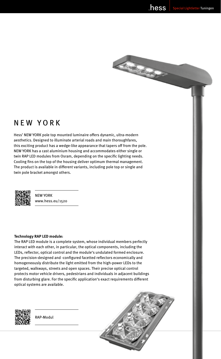Access of

### NEW YORK

Hess' NEW YORK pole top mounted luminaire offers dynamic, ultra-modern aesthetics. Designed to illuminate arterial roads and main thoroughfares, this exciting product has a wedge-like appearance that tapers off from the pole. NEW YORK has a cast aluminium housing and accommodates either single or twin RAP LED modules from Osram, depending on the specific lighting needs. Cooling fins on the top of the housing deliver optimum thermal management. The product is available in different variants, including pole top or single and twin pole bracket amongst others.



NEW YORK www.hess.eu/1520

#### **Technology RAP LED module:**

The RAP LED module is a complete system, whose individual members perfectly interact with each other, in particular, the optical components, including the LEDs, reflector, optical control and the module's undulated formed enclosure. The precision-designed and -configured facetted reflectors economically and homogeneously distribute the light emitted from the high-power LEDs to the targeted, walkways, streets and open spaces. Their precise optical control protects motor vehicle drivers, pedestrians and individuals in adjacent buildings from disturbing glare. For the specific application's exact requirements different optical systems are available.



RAP-Modul